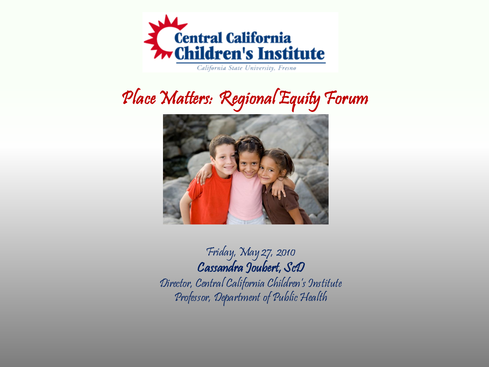

California State University, Fresno

#### Place Matters: Regional Equity Forum



Friday, May 27, 2010 Cassandra Joubert, ScD Director, Central California Children's Institute Professor, Department of Public Health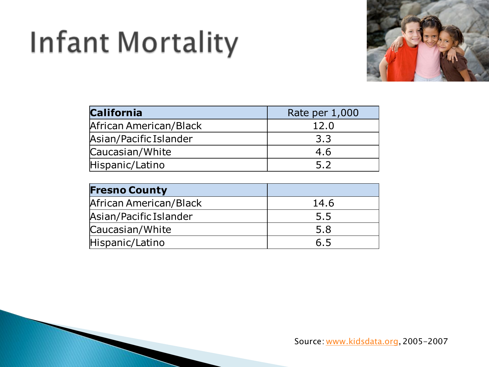# Infant Mortality



| <b>California</b>      | Rate per 1,000 |
|------------------------|----------------|
| African American/Black | 12.0           |
| Asian/Pacific Islander | 3.3            |
| Caucasian/White        | 4.6            |
| Hispanic/Latino        | 5.2            |

| <b>Fresno County</b>   |      |
|------------------------|------|
| African American/Black | 14.6 |
| Asian/Pacific Islander | 5.5  |
| Caucasian/White        | 5.8  |
| Hispanic/Latino        | 6.5  |

Source: [www.kidsdata.org,](http://www.kidsdata.org/) 2005-2007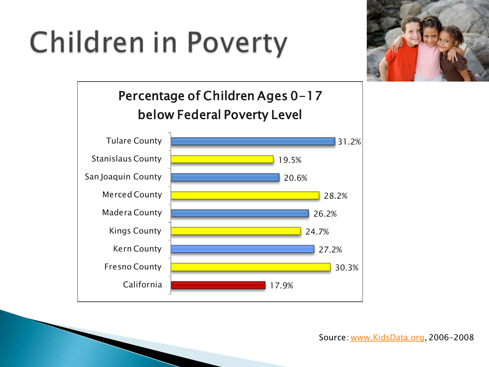## Children in Poverty





Source: [www.KidsData.org](http://www.kidsdata.org/), 2006-2008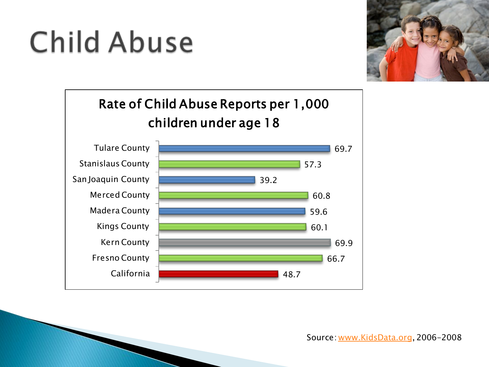## **Child Abuse**





Source: [www.KidsData.org](http://www.kidsdata.org/), 2006-2008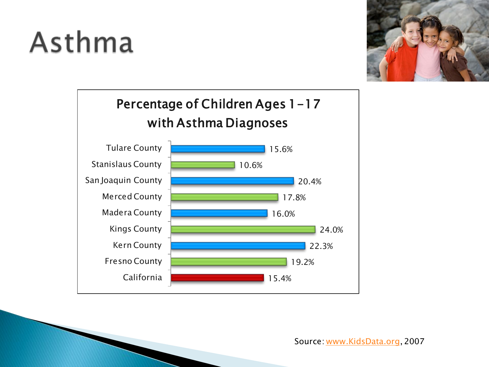### Asthma





Source: [www.KidsData.org](http://www.kidsdata.org/), 2007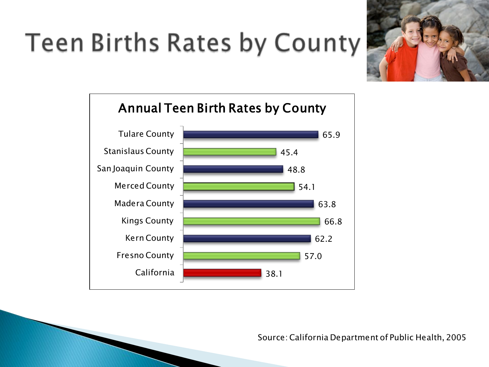#### **Teen Births Rates by County**





Source: California Department of Public Health, 2005